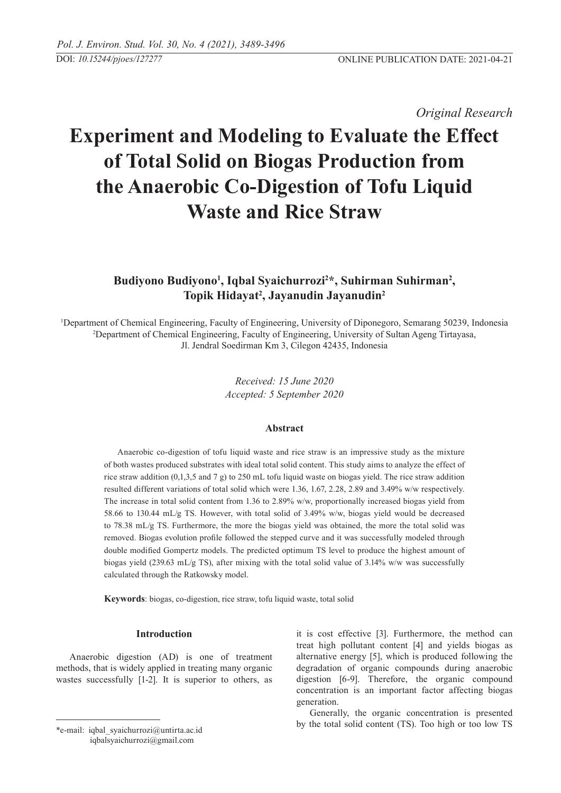*Original Research* 

# **Experiment and Modeling to Evaluate the Effect of Total Solid on Biogas Production from the Anaerobic Co-Digestion of Tofu Liquid Waste and Rice Straw**

# Budiyono Budiyono<sup>1</sup>, Iqbal Syaichurrozi<sup>2\*</sup>, Suhirman Suhirman<sup>2</sup>, **Topik Hidayat2 , Jayanudin Jayanudin2**

1 Department of Chemical Engineering, Faculty of Engineering, University of Diponegoro, Semarang 50239, Indonesia 2 Department of Chemical Engineering, Faculty of Engineering, University of Sultan Ageng Tirtayasa, Jl. Jendral Soedirman Km 3, Cilegon 42435, Indonesia

> *Received: 15 June 2020 Accepted: 5 September 2020*

# **Abstract**

Anaerobic co-digestion of tofu liquid waste and rice straw is an impressive study as the mixture of both wastes produced substrates with ideal total solid content. This study aims to analyze the effect of rice straw addition (0,1,3,5 and 7 g) to 250 mL tofu liquid waste on biogas yield. The rice straw addition resulted different variations of total solid which were 1.36, 1.67, 2.28, 2.89 and 3.49% w/w respectively. The increase in total solid content from 1.36 to 2.89% w/w, proportionally increased biogas yield from 58.66 to 130.44 mL/g TS. However, with total solid of 3.49% w/w, biogas yield would be decreased to 78.38 mL/g TS. Furthermore, the more the biogas yield was obtained, the more the total solid was removed. Biogas evolution profile followed the stepped curve and it was successfully modeled through double modified Gompertz models. The predicted optimum TS level to produce the highest amount of biogas yield (239.63 mL/g TS), after mixing with the total solid value of 3.14% w/w was successfully calculated through the Ratkowsky model.

**Keywords**: biogas, co-digestion, rice straw, tofu liquid waste, total solid

# **Introduction**

Anaerobic digestion (AD) is one of treatment methods, that is widely applied in treating many organic wastes successfully [1-2]. It is superior to others, as

\*e-mail: iqbal\_syaichurrozi@untirta.ac.id iqbalsyaichurrozi@gmail.com

it is cost effective [3]. Furthermore, the method can treat high pollutant content [4] and yields biogas as alternative energy [5], which is produced following the degradation of organic compounds during anaerobic digestion [6-9]. Therefore, the organic compound concentration is an important factor affecting biogas generation.

Generally, the organic concentration is presented by the total solid content (TS). Too high or too low TS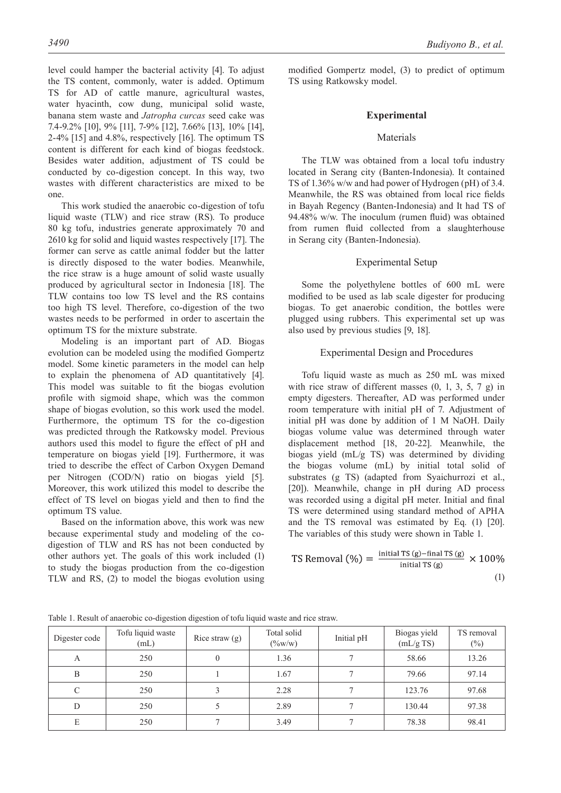level could hamper the bacterial activity [4]. To adjust the TS content, commonly, water is added. Optimum TS for AD of cattle manure, agricultural wastes, water hyacinth, cow dung, municipal solid waste, banana stem waste and *Jatropha curcas* seed cake was 7.4-9.2% [10], 9% [11], 7-9% [12], 7.66% [13], 10% [14], 2-4% [15] and 4.8%, respectively [16]. The optimum TS content is different for each kind of biogas feedstock. Besides water addition, adjustment of TS could be conducted by co-digestion concept. In this way, two wastes with different characteristics are mixed to be one.

This work studied the anaerobic co-digestion of tofu liquid waste (TLW) and rice straw (RS). To produce 80 kg tofu, industries generate approximately 70 and 2610 kg for solid and liquid wastes respectively [17]. The former can serve as cattle animal fodder but the latter is directly disposed to the water bodies. Meanwhile, the rice straw is a huge amount of solid waste usually produced by agricultural sector in Indonesia [18]. The TLW contains too low TS level and the RS contains too high TS level. Therefore, co-digestion of the two wastes needs to be performed in order to ascertain the optimum TS for the mixture substrate.

Modeling is an important part of AD. Biogas evolution can be modeled using the modified Gompertz model. Some kinetic parameters in the model can help to explain the phenomena of AD quantitatively [4]. This model was suitable to fit the biogas evolution profile with sigmoid shape, which was the common shape of biogas evolution, so this work used the model. Furthermore, the optimum TS for the co-digestion was predicted through the Ratkowsky model. Previous authors used this model to figure the effect of pH and temperature on biogas yield [19]. Furthermore, it was tried to describe the effect of Carbon Oxygen Demand per Nitrogen (COD/N) ratio on biogas yield [5]. Moreover, this work utilized this model to describe the effect of TS level on biogas yield and then to find the optimum TS value.

Based on the information above, this work was new because experimental study and modeling of the codigestion of TLW and RS has not been conducted by other authors yet. The goals of this work included (1) to study the biogas production from the co-digestion TLW and RS, (2) to model the biogas evolution using

modified Gompertz model, (3) to predict of optimum TS using Ratkowsky model.

# **Experimental**

# Materials

The TLW was obtained from a local tofu industry located in Serang city (Banten-Indonesia). It contained TS of 1.36% w/w and had power of Hydrogen (pH) of 3.4. Meanwhile, the RS was obtained from local rice fields in Bayah Regency (Banten-Indonesia) and It had TS of 94.48% w/w. The inoculum (rumen fluid) was obtained from rumen fluid collected from a slaughterhouse in Serang city (Banten-Indonesia).

# Experimental Setup

Some the polyethylene bottles of 600 mL were modified to be used as lab scale digester for producing biogas. To get anaerobic condition, the bottles were plugged using rubbers. This experimental set up was also used by previous studies [9, 18].

# Experimental Design and Procedures

Tofu liquid waste as much as 250 mL was mixed with rice straw of different masses  $(0, 1, 3, 5, 7, g)$  in empty digesters. Thereafter, AD was performed under room temperature with initial pH of 7. Adjustment of initial pH was done by addition of 1 M NaOH. Daily biogas volume value was determined through water displacement method [18, 20-22]. Meanwhile, the biogas yield (mL/g TS) was determined by dividing the biogas volume (mL) by initial total solid of substrates (g TS) (adapted from Syaichurrozi et al., [20]). Meanwhile, change in pH during AD process was recorded using a digital pH meter. Initial and final TS were determined using standard method of APHA and the TS removal was estimated by Eq. (1) [20]. The variables of this study were shown in Table 1.

$$
\text{TS Removal } (\%) = \frac{\text{initial TS (g)} - \text{final TS (g)}}{\text{initial TS (g)}} \times 100\%
$$
\n
$$
\tag{1}
$$

|  |  |  |  |  |  |  |  | Table 1. Result of anaerobic co-digestion digestion of tofu liquid waste and rice straw. |  |
|--|--|--|--|--|--|--|--|------------------------------------------------------------------------------------------|--|
|--|--|--|--|--|--|--|--|------------------------------------------------------------------------------------------|--|

| Digester code | Tofu liquid waste<br>(mL) | Rice straw $(g)$ | Total solid<br>$(\frac{9}{6}W/W)$ | Initial pH | Biogas yield<br>(mL/gTS) | TS removal<br>$(\%)$ |
|---------------|---------------------------|------------------|-----------------------------------|------------|--------------------------|----------------------|
| A             | 250                       | $\overline{0}$   | 1.36                              |            | 58.66                    | 13.26                |
| B             | 250                       |                  | 1.67                              |            | 79.66                    | 97.14                |
| $\mathcal{C}$ | 250                       |                  | 2.28                              |            | 123.76                   | 97.68                |
| D             | 250                       |                  | 2.89                              |            | 130.44                   | 97.38                |
| E             | 250                       |                  | 3.49                              |            | 78.38                    | 98.41                |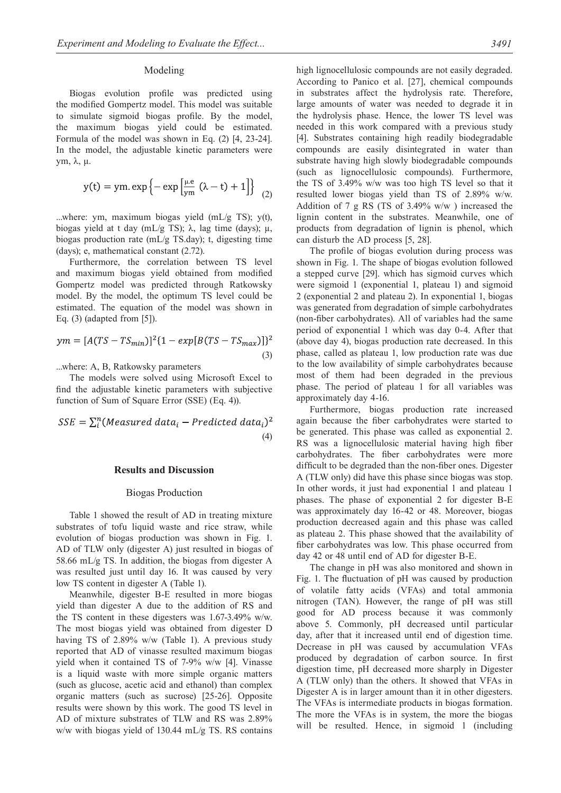# Modeling

Biogas evolution profile was predicted using the modified Gompertz model. This model was suitable to simulate sigmoid biogas profile. By the model, the maximum biogas yield could be estimated. Formula of the model was shown in Eq. (2) [4, 23-24]. In the model, the adjustable kinetic parameters were ym, λ, μ.

$$
y(t) = ym \exp\left\{-\exp\left[\frac{\mu e}{ym}(\lambda - t) + 1\right]\right\}
$$
 (2)

...where: ym, maximum biogas yield  $(mL/g TS)$ ; y(t), biogas yield at t day (mL/g TS); λ, lag time (days);  $\mu$ , biogas production rate (mL/g TS.day); t, digesting time (days); e, mathematical constant (2.72).

Furthermore, the correlation between TS level and maximum biogas yield obtained from modified Gompertz model was predicted through Ratkowsky model. By the model, the optimum TS level could be estimated. The equation of the model was shown in Eq. (3) (adapted from [5]).

$$
ym = [A(TS - TS_{min})]^2 \{1 - exp[B(TS - TS_{max})]\}^2
$$
\n(3)

...where: A, B, Ratkowsky parameters

The models were solved using Microsoft Excel to find the adjustable kinetic parameters with subjective function of Sum of Square Error (SSE) (Eq. 4)).

$$
SSE = \sum_{i}^{n} (Measured data_i - Predicted data_i)^2
$$
\n(4)

#### **Results and Discussion**

#### Biogas Production

Table 1 showed the result of AD in treating mixture substrates of tofu liquid waste and rice straw, while evolution of biogas production was shown in Fig. 1. AD of TLW only (digester A) just resulted in biogas of 58.66 mL/g TS. In addition, the biogas from digester A was resulted just until day 16. It was caused by very low TS content in digester A (Table 1).

Meanwhile, digester B-E resulted in more biogas yield than digester A due to the addition of RS and the TS content in these digesters was 1.67-3.49% w/w. The most biogas yield was obtained from digester D having TS of 2.89% w/w (Table 1). A previous study reported that AD of vinasse resulted maximum biogas yield when it contained TS of 7-9% w/w [4]. Vinasse is a liquid waste with more simple organic matters (such as glucose, acetic acid and ethanol) than complex organic matters (such as sucrose) [25-26]. Opposite results were shown by this work. The good TS level in AD of mixture substrates of TLW and RS was 2.89% w/w with biogas yield of 130.44 mL/g TS. RS contains high lignocellulosic compounds are not easily degraded. According to Panico et al. [27], chemical compounds in substrates affect the hydrolysis rate. Therefore, large amounts of water was needed to degrade it in the hydrolysis phase. Hence, the lower TS level was needed in this work compared with a previous study [4]. Substrates containing high readily biodegradable compounds are easily disintegrated in water than substrate having high slowly biodegradable compounds (such as lignocellulosic compounds). Furthermore, the TS of 3.49% w/w was too high TS level so that it resulted lower biogas yield than TS of 2.89% w/w. Addition of 7 g RS (TS of 3.49% w/w ) increased the lignin content in the substrates. Meanwhile, one of products from degradation of lignin is phenol, which can disturb the AD process [5, 28].

The profile of biogas evolution during process was shown in Fig. 1. The shape of biogas evolution followed a stepped curve [29]. which has sigmoid curves which were sigmoid 1 (exponential 1, plateau 1) and sigmoid 2 (exponential 2 and plateau 2). In exponential 1, biogas was generated from degradation of simple carbohydrates (non-fiber carbohydrates). All of variables had the same period of exponential 1 which was day 0-4. After that (above day 4), biogas production rate decreased. In this phase, called as plateau 1, low production rate was due to the low availability of simple carbohydrates because most of them had been degraded in the previous phase. The period of plateau 1 for all variables was approximately day 4-16.

Furthermore, biogas production rate increased again because the fiber carbohydrates were started to be generated. This phase was called as exponential 2. RS was a lignocellulosic material having high fiber carbohydrates. The fiber carbohydrates were more difficult to be degraded than the non-fiber ones. Digester A (TLW only) did have this phase since biogas was stop. In other words, it just had exponential 1 and plateau 1 phases. The phase of exponential 2 for digester B-E was approximately day 16-42 or 48. Moreover, biogas production decreased again and this phase was called as plateau 2. This phase showed that the availability of fiber carbohydrates was low. This phase occurred from day 42 or 48 until end of AD for digester B-E.

The change in pH was also monitored and shown in Fig. 1. The fluctuation of pH was caused by production of volatile fatty acids (VFAs) and total ammonia nitrogen (TAN). However, the range of pH was still good for AD process because it was commonly above 5. Commonly, pH decreased until particular day, after that it increased until end of digestion time. Decrease in pH was caused by accumulation VFAs produced by degradation of carbon source. In first digestion time, pH decreased more sharply in Digester A (TLW only) than the others. It showed that VFAs in Digester A is in larger amount than it in other digesters. The VFAs is intermediate products in biogas formation. The more the VFAs is in system, the more the biogas will be resulted. Hence, in sigmoid 1 (including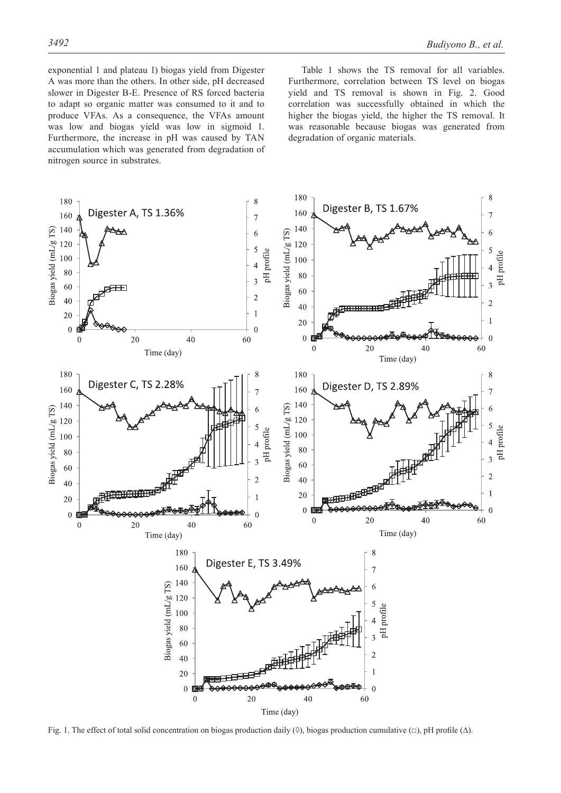exponential 1 and plateau 1) biogas yield from Digester A was more than the others. In other side, pH decreased slower in Digester B-E. Presence of RS forced bacteria to adapt so organic matter was consumed to it and to produce VFAs. As a consequence, the VFAs amount was low and biogas yield was low in sigmoid 1. Furthermore, the increase in pH was caused by TAN accumulation which was generated from degradation of nitrogen source in substrates.

Table 1 shows the TS removal for all variables. Furthermore, correlation between TS level on biogas yield and TS removal is shown in Fig. 2. Good correlation was successfully obtained in which the higher the biogas yield, the higher the TS removal. It was reasonable because biogas was generated from degradation of organic materials.



Fig. 1. The effect of total solid concentration on biogas production daily (◊), biogas production cumulative (□), pH profile (∆).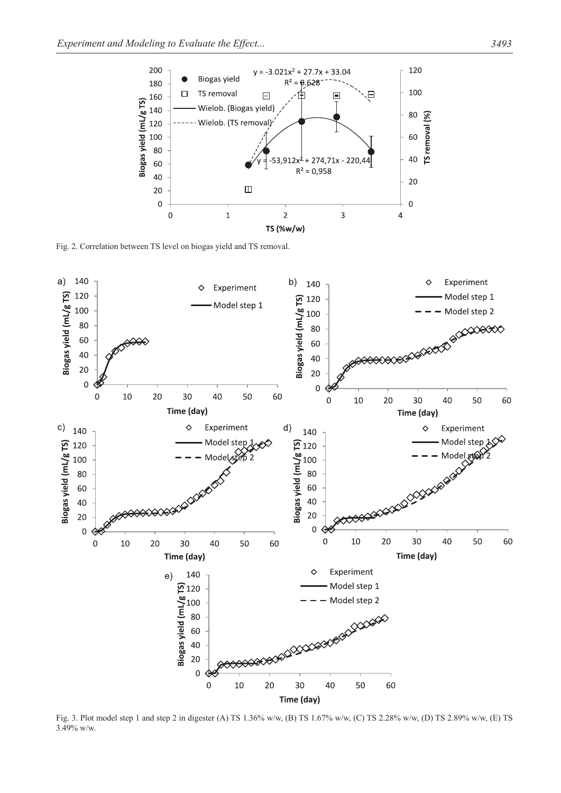

Fig. 2. Correlation between TS level on biogas yield and TS removal.



Fig. 3. Plot model step 1 and step 2 in digester (A) TS 1.36% w/w, (B) TS 1.67% w/w, (C) TS 2.28% w/w, (D) TS 2.89% w/w, (E) TS 3.49% w/w.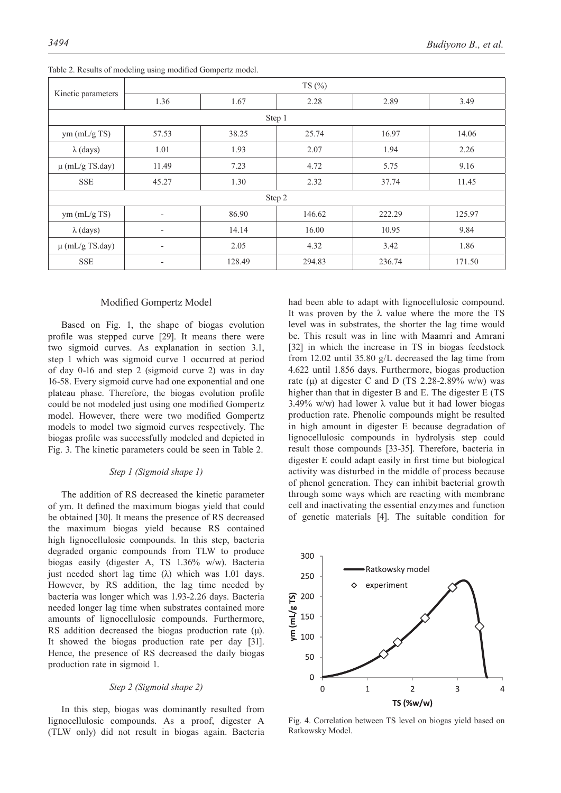|                     | TS(%)                    |        |        |        |        |  |  |  |
|---------------------|--------------------------|--------|--------|--------|--------|--|--|--|
| Kinetic parameters  | 1.36                     | 1.67   | 2.28   | 2.89   | 3.49   |  |  |  |
| Step 1              |                          |        |        |        |        |  |  |  |
| ym (mL/g TS)        | 57.53                    | 38.25  | 25.74  | 16.97  | 14.06  |  |  |  |
| $\lambda$ (days)    | 1.01                     | 1.93   | 2.07   | 1.94   | 2.26   |  |  |  |
| $\mu$ (mL/g TS.day) | 11.49                    | 7.23   | 4.72   | 5.75   | 9.16   |  |  |  |
| <b>SSE</b>          | 45.27                    | 1.30   | 2.32   | 37.74  | 11.45  |  |  |  |
| Step 2              |                          |        |        |        |        |  |  |  |
| ym (mL/g TS)        | $\overline{\phantom{a}}$ | 86.90  | 146.62 | 222.29 | 125.97 |  |  |  |
| $\lambda$ (days)    | $\overline{\phantom{a}}$ | 14.14  | 16.00  | 10.95  | 9.84   |  |  |  |
| $\mu$ (mL/g TS.day) | $\overline{\phantom{a}}$ | 2.05   | 4.32   | 3.42   | 1.86   |  |  |  |
| <b>SSE</b>          | $\overline{\phantom{a}}$ | 128.49 | 294.83 | 236.74 | 171.50 |  |  |  |

Table 2. Results of modeling using modified Gompertz model.

# Modified Gompertz Model

Based on Fig. 1, the shape of biogas evolution profile was stepped curve [29]. It means there were two sigmoid curves. As explanation in section 3.1, step 1 which was sigmoid curve 1 occurred at period of day 0-16 and step 2 (sigmoid curve 2) was in day 16-58. Every sigmoid curve had one exponential and one plateau phase. Therefore, the biogas evolution profile could be not modeled just using one modified Gompertz model. However, there were two modified Gompertz models to model two sigmoid curves respectively. The biogas profile was successfully modeled and depicted in Fig. 3. The kinetic parameters could be seen in Table 2.

#### *Step 1 (Sigmoid shape 1)*

The addition of RS decreased the kinetic parameter of ym. It defined the maximum biogas yield that could be obtained [30]. It means the presence of RS decreased the maximum biogas yield because RS contained high lignocellulosic compounds. In this step, bacteria degraded organic compounds from TLW to produce biogas easily (digester A, TS 1.36% w/w). Bacteria iust needed short lag time (λ) which was 1.01 days. However, by RS addition, the lag time needed by bacteria was longer which was 1.93-2.26 days. Bacteria needed longer lag time when substrates contained more amounts of lignocellulosic compounds. Furthermore, RS addition decreased the biogas production rate  $(\mu)$ . It showed the biogas production rate per day [31]. Hence, the presence of RS decreased the daily biogas production rate in sigmoid 1.

#### *Step 2 (Sigmoid shape 2)*

In this step, biogas was dominantly resulted from lignocellulosic compounds. As a proof, digester A (TLW only) did not result in biogas again. Bacteria had been able to adapt with lignocellulosic compound. It was proven by the  $\lambda$  value where the more the TS level was in substrates, the shorter the lag time would be. This result was in line with Maamri and Amrani [32] in which the increase in TS in biogas feedstock from 12.02 until 35.80 g/L decreased the lag time from 4.622 until 1.856 days. Furthermore, biogas production rate (μ) at digester C and D (TS 2.28-2.89% w/w) was higher than that in digester B and E. The digester E (TS) 3.49% w/w) had lower  $\lambda$  value but it had lower biogas production rate. Phenolic compounds might be resulted in high amount in digester E because degradation of lignocellulosic compounds in hydrolysis step could result those compounds [33-35]. Therefore, bacteria in digester E could adapt easily in first time but biological activity was disturbed in the middle of process because of phenol generation. They can inhibit bacterial growth through some ways which are reacting with membrane cell and inactivating the essential enzymes and function of genetic materials [4]. The suitable condition for



Fig. 4. Correlation between TS level on biogas yield based on Ratkowsky Model.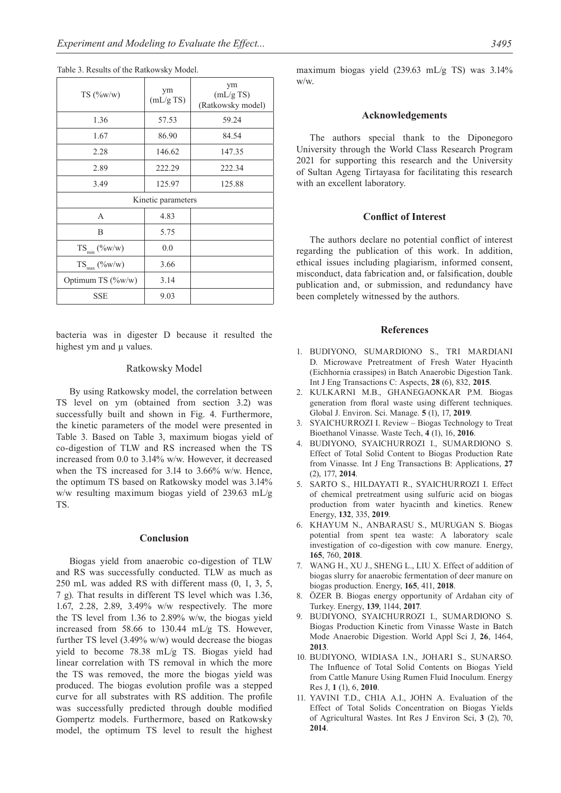| TS(%w/w)           | ym<br>(mL/gTS) | ym<br>(mL/gTS)<br>(Ratkowsky model) |  |  |  |  |
|--------------------|----------------|-------------------------------------|--|--|--|--|
| 1.36               | 57.53          | 59.24                               |  |  |  |  |
| 1.67               | 86.90          | 84.54                               |  |  |  |  |
| 2.28               | 146.62         | 147.35                              |  |  |  |  |
| 2.89               | 222.29         | 222.34                              |  |  |  |  |
| 3.49               | 125.97         | 125.88                              |  |  |  |  |
| Kinetic parameters |                |                                     |  |  |  |  |
| A                  | 4.83           |                                     |  |  |  |  |
| B                  | 5.75           |                                     |  |  |  |  |
| $TS_{min}$ (%w/w)  | 0.0            |                                     |  |  |  |  |
| $TS_{max}$ (%w/w)  | 3.66           |                                     |  |  |  |  |
| Optimum TS (%w/w)  | 3.14           |                                     |  |  |  |  |
| <b>SSE</b>         | 9.03           |                                     |  |  |  |  |

Table 3. Results of the Ratkowsky Model.

bacteria was in digester D because it resulted the highest ym and μ values.

# Ratkowsky Model

By using Ratkowsky model, the correlation between TS level on ym (obtained from section 3.2) was successfully built and shown in Fig. 4. Furthermore, the kinetic parameters of the model were presented in Table 3. Based on Table 3, maximum biogas yield of co-digestion of TLW and RS increased when the TS increased from 0.0 to 3.14% w/w. However, it decreased when the TS increased for 3.14 to 3.66% w/w. Hence, the optimum TS based on Ratkowsky model was 3.14% w/w resulting maximum biogas yield of 239.63 mL/g TS.

#### **Conclusion**

Biogas yield from anaerobic co-digestion of TLW and RS was successfully conducted. TLW as much as 250 mL was added RS with different mass (0, 1, 3, 5, 7 g). That results in different TS level which was 1.36, 1.67, 2.28, 2.89, 3.49% w/w respectively. The more the TS level from 1.36 to 2.89% w/w, the biogas yield increased from 58.66 to 130.44 mL/g TS. However, further TS level (3.49% w/w) would decrease the biogas yield to become 78.38 mL/g TS. Biogas yield had linear correlation with TS removal in which the more the TS was removed, the more the biogas yield was produced. The biogas evolution profile was a stepped curve for all substrates with RS addition. The profile was successfully predicted through double modified Gompertz models. Furthermore, based on Ratkowsky model, the optimum TS level to result the highest maximum biogas yield (239.63 mL/g TS) was 3.14% w/w.

#### **Acknowledgements**

The authors special thank to the Diponegoro University through the World Class Research Program 2021 for supporting this research and the University of Sultan Ageng Tirtayasa for facilitating this research with an excellent laboratory.

# **Conflict of Interest**

The authors declare no potential conflict of interest regarding the publication of this work. In addition, ethical issues including plagiarism, informed consent, misconduct, data fabrication and, or falsification, double publication and, or submission, and redundancy have been completely witnessed by the authors.

# **References**

- 1. BUDIYONO, SUMARDIONO S., TRI MARDIANI D. Microwave Pretreatment of Fresh Water Hyacinth (Eichhornia crassipes) in Batch Anaerobic Digestion Tank. Int J Eng Transactions C: Aspects, **28** (6), 832, **2015**.
- 2. KULKARNI M.B., GHANEGAONKAR P.M. Biogas generation from floral waste using different techniques. Global J. Environ. Sci. Manage. **5** (1), 17, **2019**.
- 3. SYAICHURROZI I. Review Biogas Technology to Treat Bioethanol Vinasse. Waste Tech, **4** (1), 16, **2016**.
- 4. BUDIYONO, SYAICHURROZI I., SUMARDIONO S. Effect of Total Solid Content to Biogas Production Rate from Vinasse. Int J Eng Transactions B: Applications, **27**  (2), 177, **2014**.
- 5. SARTO S., HILDAYATI R., SYAICHURROZI I. Effect of chemical pretreatment using sulfuric acid on biogas production from water hyacinth and kinetics. Renew Energy, **132**, 335, **2019**.
- 6. KHAYUM N., ANBARASU S., MURUGAN S. Biogas potential from spent tea waste: A laboratory scale investigation of co-digestion with cow manure. Energy, **165**, 760, **2018**.
- 7. WANG H., XU J., SHENG L., LIU X. Effect of addition of biogas slurry for anaerobic fermentation of deer manure on biogas production. Energy, **165**, 411, **2018**.
- 8. ÖZER B. Biogas energy opportunity of Ardahan city of Turkey. Energy, **139**, 1144, **2017**.
- 9. BUDIYONO, SYAICHURROZI I., SUMARDIONO S. Biogas Production Kinetic from Vinasse Waste in Batch Mode Anaerobic Digestion. World Appl Sci J, **26**, 1464, **2013**.
- 10. BUDIYONO, WIDIASA I.N., JOHARI S., SUNARSO. The Influence of Total Solid Contents on Biogas Yield from Cattle Manure Using Rumen Fluid Inoculum. Energy Res J, **1** (1), 6, **2010**.
- 11. YAVINI T.D., CHIA A.I., JOHN A. Evaluation of the Effect of Total Solids Concentration on Biogas Yields of Agricultural Wastes. Int Res J Environ Sci, **3** (2), 70, **2014**.